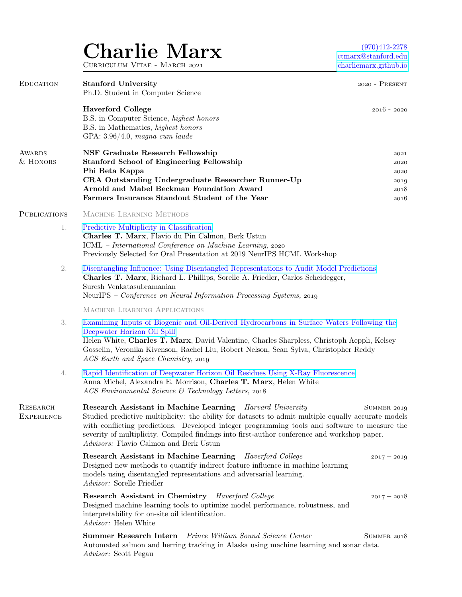## Charlie Marx CURRICULUM VITAE - MARCH 2021

(970)412-2278 [ctmarx@stanford.edu](mailto:ctmarx@stanford.edu) [charliemarx.github.io](https://charliemarx.github.io/)

| <b>EDUCATION</b>                     | <b>Stanford University</b><br>Ph.D. Student in Computer Science                                                                                                                                                                                                                                                                                                                                             | $2020 - P$ RESENT                            |
|--------------------------------------|-------------------------------------------------------------------------------------------------------------------------------------------------------------------------------------------------------------------------------------------------------------------------------------------------------------------------------------------------------------------------------------------------------------|----------------------------------------------|
|                                      | <b>Haverford College</b><br>B.S. in Computer Science, highest honors<br>B.S. in Mathematics, highest honors<br>GPA: $3.96/4.0$ , magna cum laude                                                                                                                                                                                                                                                            | $2016 - 2020$                                |
| <b>AWARDS</b><br>& HONORS            | NSF Graduate Research Fellowship<br><b>Stanford School of Engineering Fellowship</b><br>Phi Beta Kappa<br>CRA Outstanding Undergraduate Researcher Runner-Up<br>Arnold and Mabel Beckman Foundation Award<br>Farmers Insurance Standout Student of the Year                                                                                                                                                 | 2021<br>2020<br>2020<br>2019<br>2018<br>2016 |
| <b>PUBLICATIONS</b>                  | MACHINE LEARNING METHODS                                                                                                                                                                                                                                                                                                                                                                                    |                                              |
| 1.                                   | Predictive Multiplicity in Classification<br>Charles T. Marx, Flavio du Pin Calmon, Berk Ustun<br>ICML - International Conference on Machine Learning, 2020<br>Previously Selected for Oral Presentation at 2019 NeurIPS HCML Workshop                                                                                                                                                                      |                                              |
| 2.                                   | Disentangling Influence: Using Disentangled Representations to Audit Model Predictions<br>Charles T. Marx, Richard L. Phillips, Sorelle A. Friedler, Carlos Scheidegger,<br>Suresh Venkatasubramanian<br>NeurIPS - Conference on Neural Information Processing Systems, 2019                                                                                                                                |                                              |
|                                      | MACHINE LEARNING APPLICATIONS                                                                                                                                                                                                                                                                                                                                                                               |                                              |
| 3.                                   | Examining Inputs of Biogenic and Oil-Derived Hydrocarbons in Surface Waters Following the<br>Deepwater Horizon Oil Spill<br>Helen White, Charles T. Marx, David Valentine, Charles Sharpless, Christoph Aeppli, Kelsey<br>Gosselin, Veronika Kivenson, Rachel Liu, Robert Nelson, Sean Sylva, Christopher Reddy<br>ACS Earth and Space Chemistry, 2019                                                      |                                              |
| 4.                                   | Rapid Identification of Deepwater Horizon Oil Residues Using X-Ray Fluorescence<br>Anna Michel, Alexandra E. Morrison, Charles T. Marx, Helen White<br>ACS Environmental Science & Technology Letters, 2018                                                                                                                                                                                                 |                                              |
| <b>RESEARCH</b><br><b>EXPERIENCE</b> | Research Assistant in Machine Learning Harvard University<br>Studied predictive multiplicity: the ability for datasets to admit multiple equally accurate models<br>with conflicting predictions. Developed integer programming tools and software to measure the<br>severity of multiplicity. Compiled findings into first-author conference and workshop paper.<br>Advisors: Flavio Calmon and Berk Ustun | SUMMER 2019                                  |
|                                      | Research Assistant in Machine Learning Haverford College<br>Designed new methods to quantify indirect feature influence in machine learning<br>models using disentangled representations and adversarial learning.<br>Advisor: Sorelle Friedler                                                                                                                                                             | $2017 - 2019$                                |
|                                      | Research Assistant in Chemistry Haverford College<br>Designed machine learning tools to optimize model performance, robustness, and<br>interpretability for on-site oil identification.<br>Advisor: Helen White                                                                                                                                                                                             | $2017 - 2018$                                |
|                                      | <b>Summer Research Intern</b> Prince William Sound Science Center<br>Automated salmon and herring tracking in Alaska using machine learning and sonar data.<br>Advisor: Scott Pegau                                                                                                                                                                                                                         | SUMMER 2018                                  |